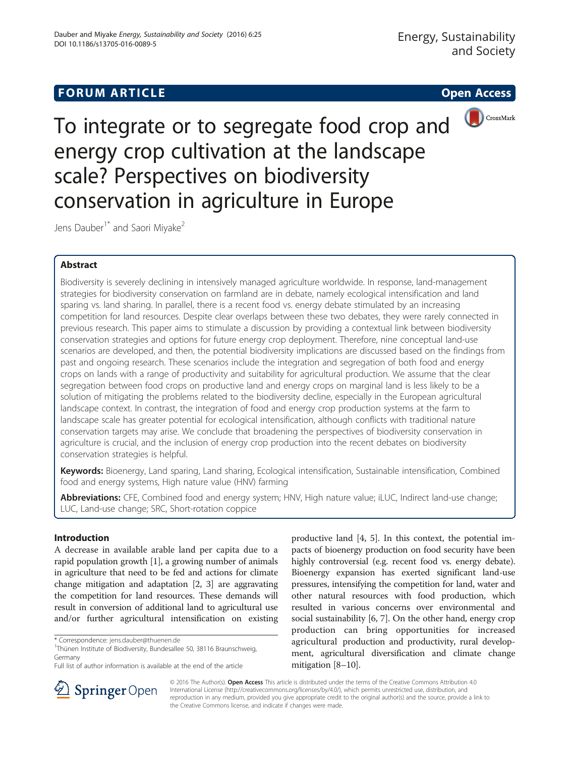# **FORUM ARTICLE Example 2018 CONSUMER ACCESS**



To integrate or to segregate food crop and energy crop cultivation at the landscape scale? Perspectives on biodiversity conservation in agriculture in Europe

Jens Dauber<sup>1\*</sup> and Saori Miyake<sup>2</sup>

## Abstract

Biodiversity is severely declining in intensively managed agriculture worldwide. In response, land-management strategies for biodiversity conservation on farmland are in debate, namely ecological intensification and land sparing vs. land sharing. In parallel, there is a recent food vs. energy debate stimulated by an increasing competition for land resources. Despite clear overlaps between these two debates, they were rarely connected in previous research. This paper aims to stimulate a discussion by providing a contextual link between biodiversity conservation strategies and options for future energy crop deployment. Therefore, nine conceptual land-use scenarios are developed, and then, the potential biodiversity implications are discussed based on the findings from past and ongoing research. These scenarios include the integration and segregation of both food and energy crops on lands with a range of productivity and suitability for agricultural production. We assume that the clear segregation between food crops on productive land and energy crops on marginal land is less likely to be a solution of mitigating the problems related to the biodiversity decline, especially in the European agricultural landscape context. In contrast, the integration of food and energy crop production systems at the farm to landscape scale has greater potential for ecological intensification, although conflicts with traditional nature conservation targets may arise. We conclude that broadening the perspectives of biodiversity conservation in agriculture is crucial, and the inclusion of energy crop production into the recent debates on biodiversity conservation strategies is helpful.

Keywords: Bioenergy, Land sparing, Land sharing, Ecological intensification, Sustainable intensification, Combined food and energy systems, High nature value (HNV) farming

Abbreviations: CFE, Combined food and energy system; HNV, High nature value; iLUC, Indirect land-use change; LUC, Land-use change; SRC, Short-rotation coppice

## Introduction

A decrease in available arable land per capita due to a rapid population growth [\[1](#page-8-0)], a growing number of animals in agriculture that need to be fed and actions for climate change mitigation and adaptation [\[2, 3](#page-8-0)] are aggravating the competition for land resources. These demands will result in conversion of additional land to agricultural use and/or further agricultural intensification on existing productive land [\[4, 5\]](#page-8-0). In this context, the potential impacts of bioenergy production on food security have been highly controversial (e.g. recent food vs. energy debate). Bioenergy expansion has exerted significant land-use pressures, intensifying the competition for land, water and other natural resources with food production, which resulted in various concerns over environmental and social sustainability [[6, 7](#page-8-0)]. On the other hand, energy crop production can bring opportunities for increased agricultural production and productivity, rural development, agricultural diversification and climate change mitigation [\[8](#page-8-0)–[10\]](#page-8-0).



© 2016 The Author(s). Open Access This article is distributed under the terms of the Creative Commons Attribution 4.0 International License ([http://creativecommons.org/licenses/by/4.0/\)](http://creativecommons.org/licenses/by/4.0/), which permits unrestricted use, distribution, and reproduction in any medium, provided you give appropriate credit to the original author(s) and the source, provide a link to the Creative Commons license, and indicate if changes were made.

<sup>\*</sup> Correspondence: [jens.dauber@thuenen.de](mailto:jens.dauber@thuenen.de) <sup>1</sup>

<sup>&</sup>lt;sup>1</sup>Thünen Institute of Biodiversity, Bundesallee 50, 38116 Braunschweig, Germany

Full list of author information is available at the end of the article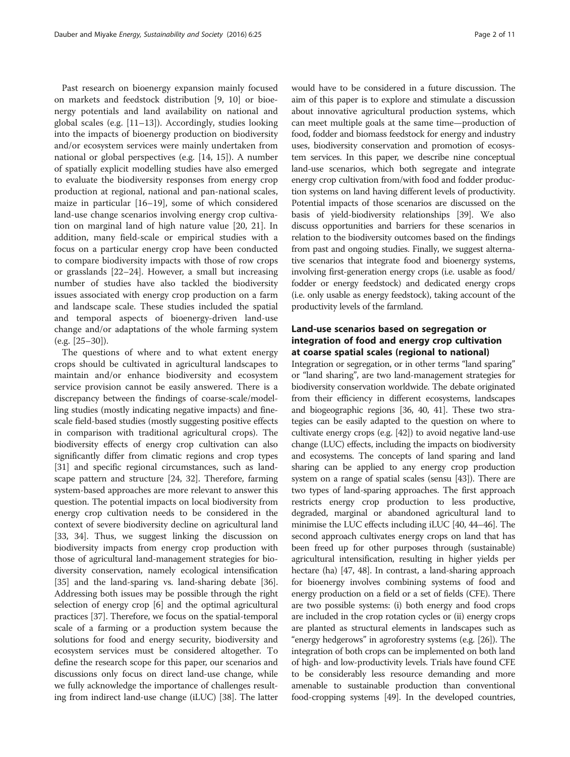Past research on bioenergy expansion mainly focused on markets and feedstock distribution [\[9, 10\]](#page-8-0) or bioenergy potentials and land availability on national and global scales (e.g. [\[11](#page-8-0)–[13\]](#page-8-0)). Accordingly, studies looking into the impacts of bioenergy production on biodiversity and/or ecosystem services were mainly undertaken from national or global perspectives (e.g. [\[14](#page-8-0), [15\]](#page-8-0)). A number of spatially explicit modelling studies have also emerged to evaluate the biodiversity responses from energy crop production at regional, national and pan-national scales, maize in particular [\[16](#page-8-0)–[19\]](#page-8-0), some of which considered land-use change scenarios involving energy crop cultivation on marginal land of high nature value [[20](#page-8-0), [21](#page-8-0)]. In addition, many field-scale or empirical studies with a focus on a particular energy crop have been conducted to compare biodiversity impacts with those of row crops or grasslands [\[22](#page-8-0)–[24\]](#page-8-0). However, a small but increasing number of studies have also tackled the biodiversity issues associated with energy crop production on a farm and landscape scale. These studies included the spatial and temporal aspects of bioenergy-driven land-use change and/or adaptations of the whole farming system (e.g. [\[25](#page-8-0)–[30\]](#page-9-0)).

The questions of where and to what extent energy crops should be cultivated in agricultural landscapes to maintain and/or enhance biodiversity and ecosystem service provision cannot be easily answered. There is a discrepancy between the findings of coarse-scale/modelling studies (mostly indicating negative impacts) and finescale field-based studies (mostly suggesting positive effects in comparison with traditional agricultural crops). The biodiversity effects of energy crop cultivation can also significantly differ from climatic regions and crop types [[31](#page-9-0)] and specific regional circumstances, such as landscape pattern and structure [\[24,](#page-8-0) [32](#page-9-0)]. Therefore, farming system-based approaches are more relevant to answer this question. The potential impacts on local biodiversity from energy crop cultivation needs to be considered in the context of severe biodiversity decline on agricultural land [[33](#page-9-0), [34](#page-9-0)]. Thus, we suggest linking the discussion on biodiversity impacts from energy crop production with those of agricultural land-management strategies for biodiversity conservation, namely ecological intensification [[35](#page-9-0)] and the land-sparing vs. land-sharing debate [[36](#page-9-0)]. Addressing both issues may be possible through the right selection of energy crop [\[6\]](#page-8-0) and the optimal agricultural practices [[37](#page-9-0)]. Therefore, we focus on the spatial-temporal scale of a farming or a production system because the solutions for food and energy security, biodiversity and ecosystem services must be considered altogether. To define the research scope for this paper, our scenarios and discussions only focus on direct land-use change, while we fully acknowledge the importance of challenges resulting from indirect land-use change (iLUC) [\[38\]](#page-9-0). The latter

would have to be considered in a future discussion. The aim of this paper is to explore and stimulate a discussion about innovative agricultural production systems, which can meet multiple goals at the same time—production of food, fodder and biomass feedstock for energy and industry uses, biodiversity conservation and promotion of ecosystem services. In this paper, we describe nine conceptual land-use scenarios, which both segregate and integrate energy crop cultivation from/with food and fodder production systems on land having different levels of productivity. Potential impacts of those scenarios are discussed on the basis of yield-biodiversity relationships [\[39\]](#page-9-0). We also discuss opportunities and barriers for these scenarios in relation to the biodiversity outcomes based on the findings from past and ongoing studies. Finally, we suggest alternative scenarios that integrate food and bioenergy systems, involving first-generation energy crops (i.e. usable as food/ fodder or energy feedstock) and dedicated energy crops (i.e. only usable as energy feedstock), taking account of the productivity levels of the farmland.

## Land-use scenarios based on segregation or integration of food and energy crop cultivation at coarse spatial scales (regional to national)

Integration or segregation, or in other terms "land sparing" or "land sharing", are two land-management strategies for biodiversity conservation worldwide. The debate originated from their efficiency in different ecosystems, landscapes and biogeographic regions [[36](#page-9-0), [40, 41\]](#page-9-0). These two strategies can be easily adapted to the question on where to cultivate energy crops (e.g. [\[42\]](#page-9-0)) to avoid negative land-use change (LUC) effects, including the impacts on biodiversity and ecosystems. The concepts of land sparing and land sharing can be applied to any energy crop production system on a range of spatial scales (sensu [\[43\]](#page-9-0)). There are two types of land-sparing approaches. The first approach restricts energy crop production to less productive, degraded, marginal or abandoned agricultural land to minimise the LUC effects including iLUC [[40](#page-9-0), [44](#page-9-0)–[46\]](#page-9-0). The second approach cultivates energy crops on land that has been freed up for other purposes through (sustainable) agricultural intensification, resulting in higher yields per hectare (ha) [\[47, 48](#page-9-0)]. In contrast, a land-sharing approach for bioenergy involves combining systems of food and energy production on a field or a set of fields (CFE). There are two possible systems: (i) both energy and food crops are included in the crop rotation cycles or (ii) energy crops are planted as structural elements in landscapes such as "energy hedgerows" in agroforestry systems (e.g. [\[26\]](#page-9-0)). The integration of both crops can be implemented on both land of high- and low-productivity levels. Trials have found CFE to be considerably less resource demanding and more amenable to sustainable production than conventional food-cropping systems [[49\]](#page-9-0). In the developed countries,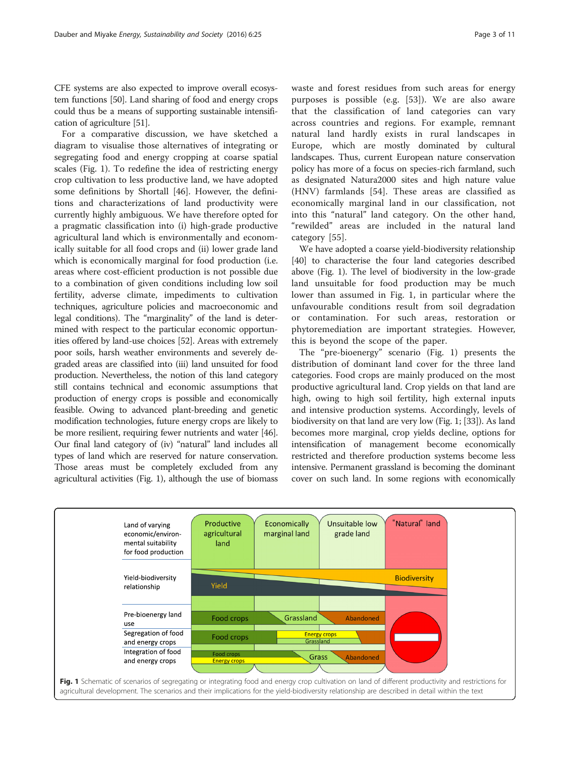<span id="page-2-0"></span>CFE systems are also expected to improve overall ecosystem functions [[50](#page-9-0)]. Land sharing of food and energy crops could thus be a means of supporting sustainable intensification of agriculture [\[51\]](#page-9-0).

For a comparative discussion, we have sketched a diagram to visualise those alternatives of integrating or segregating food and energy cropping at coarse spatial scales (Fig. 1). To redefine the idea of restricting energy crop cultivation to less productive land, we have adopted some definitions by Shortall [\[46\]](#page-9-0). However, the definitions and characterizations of land productivity were currently highly ambiguous. We have therefore opted for a pragmatic classification into (i) high-grade productive agricultural land which is environmentally and economically suitable for all food crops and (ii) lower grade land which is economically marginal for food production (i.e. areas where cost-efficient production is not possible due to a combination of given conditions including low soil fertility, adverse climate, impediments to cultivation techniques, agriculture policies and macroeconomic and legal conditions). The "marginality" of the land is determined with respect to the particular economic opportunities offered by land-use choices [[52](#page-9-0)]. Areas with extremely poor soils, harsh weather environments and severely degraded areas are classified into (iii) land unsuited for food production. Nevertheless, the notion of this land category still contains technical and economic assumptions that production of energy crops is possible and economically feasible. Owing to advanced plant-breeding and genetic modification technologies, future energy crops are likely to be more resilient, requiring fewer nutrients and water [\[46](#page-9-0)]. Our final land category of (iv) "natural" land includes all types of land which are reserved for nature conservation. Those areas must be completely excluded from any agricultural activities (Fig. 1), although the use of biomass

waste and forest residues from such areas for energy purposes is possible (e.g. [[53](#page-9-0)]). We are also aware that the classification of land categories can vary across countries and regions. For example, remnant natural land hardly exists in rural landscapes in Europe, which are mostly dominated by cultural landscapes. Thus, current European nature conservation policy has more of a focus on species-rich farmland, such as designated Natura2000 sites and high nature value (HNV) farmlands [[54\]](#page-9-0). These areas are classified as economically marginal land in our classification, not into this "natural" land category. On the other hand, "rewilded" areas are included in the natural land category [[55\]](#page-9-0).

We have adopted a coarse yield-biodiversity relationship [[40](#page-9-0)] to characterise the four land categories described above (Fig. 1). The level of biodiversity in the low-grade land unsuitable for food production may be much lower than assumed in Fig. 1, in particular where the unfavourable conditions result from soil degradation or contamination. For such areas, restoration or phytoremediation are important strategies. However, this is beyond the scope of the paper.

The "pre-bioenergy" scenario (Fig. 1) presents the distribution of dominant land cover for the three land categories. Food crops are mainly produced on the most productive agricultural land. Crop yields on that land are high, owing to high soil fertility, high external inputs and intensive production systems. Accordingly, levels of biodiversity on that land are very low (Fig. 1; [[33](#page-9-0)]). As land becomes more marginal, crop yields decline, options for intensification of management become economically restricted and therefore production systems become less intensive. Permanent grassland is becoming the dominant cover on such land. In some regions with economically

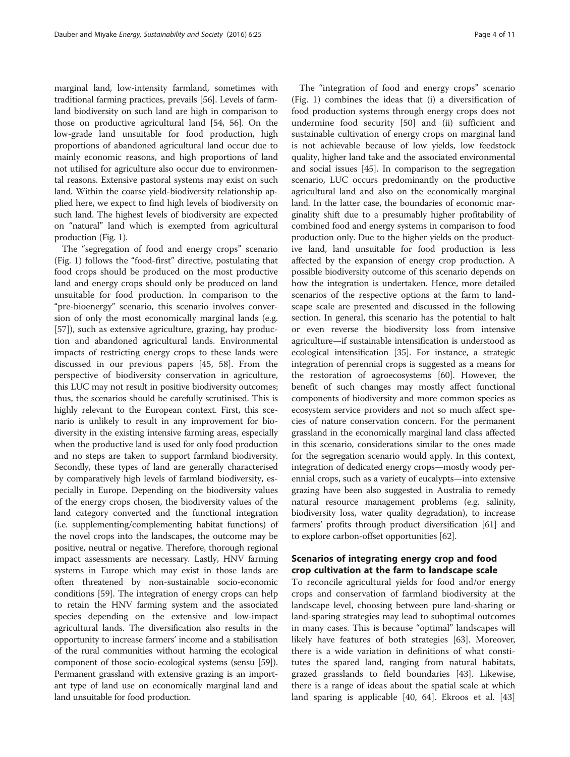marginal land, low-intensity farmland, sometimes with traditional farming practices, prevails [\[56\]](#page-9-0). Levels of farmland biodiversity on such land are high in comparison to those on productive agricultural land [\[54, 56](#page-9-0)]. On the low-grade land unsuitable for food production, high proportions of abandoned agricultural land occur due to mainly economic reasons, and high proportions of land not utilised for agriculture also occur due to environmental reasons. Extensive pastoral systems may exist on such land. Within the coarse yield-biodiversity relationship applied here, we expect to find high levels of biodiversity on such land. The highest levels of biodiversity are expected on "natural" land which is exempted from agricultural production (Fig. [1](#page-2-0)).

The "segregation of food and energy crops" scenario (Fig. [1\)](#page-2-0) follows the "food-first" directive, postulating that food crops should be produced on the most productive land and energy crops should only be produced on land unsuitable for food production. In comparison to the "pre-bioenergy" scenario, this scenario involves conversion of only the most economically marginal lands (e.g. [[57\]](#page-9-0)), such as extensive agriculture, grazing, hay production and abandoned agricultural lands. Environmental impacts of restricting energy crops to these lands were discussed in our previous papers [[45, 58\]](#page-9-0). From the perspective of biodiversity conservation in agriculture, this LUC may not result in positive biodiversity outcomes; thus, the scenarios should be carefully scrutinised. This is highly relevant to the European context. First, this scenario is unlikely to result in any improvement for biodiversity in the existing intensive farming areas, especially when the productive land is used for only food production and no steps are taken to support farmland biodiversity. Secondly, these types of land are generally characterised by comparatively high levels of farmland biodiversity, especially in Europe. Depending on the biodiversity values of the energy crops chosen, the biodiversity values of the land category converted and the functional integration (i.e. supplementing/complementing habitat functions) of the novel crops into the landscapes, the outcome may be positive, neutral or negative. Therefore, thorough regional impact assessments are necessary. Lastly, HNV farming systems in Europe which may exist in those lands are often threatened by non-sustainable socio-economic conditions [\[59\]](#page-9-0). The integration of energy crops can help to retain the HNV farming system and the associated species depending on the extensive and low-impact agricultural lands. The diversification also results in the opportunity to increase farmers' income and a stabilisation of the rural communities without harming the ecological component of those socio-ecological systems (sensu [[59](#page-9-0)]). Permanent grassland with extensive grazing is an important type of land use on economically marginal land and land unsuitable for food production.

The "integration of food and energy crops" scenario (Fig. [1\)](#page-2-0) combines the ideas that (i) a diversification of food production systems through energy crops does not undermine food security [[50](#page-9-0)] and (ii) sufficient and sustainable cultivation of energy crops on marginal land is not achievable because of low yields, low feedstock quality, higher land take and the associated environmental and social issues [[45](#page-9-0)]. In comparison to the segregation scenario, LUC occurs predominantly on the productive agricultural land and also on the economically marginal land. In the latter case, the boundaries of economic marginality shift due to a presumably higher profitability of combined food and energy systems in comparison to food production only. Due to the higher yields on the productive land, land unsuitable for food production is less affected by the expansion of energy crop production. A possible biodiversity outcome of this scenario depends on how the integration is undertaken. Hence, more detailed scenarios of the respective options at the farm to landscape scale are presented and discussed in the following section. In general, this scenario has the potential to halt or even reverse the biodiversity loss from intensive agriculture—if sustainable intensification is understood as ecological intensification [[35\]](#page-9-0). For instance, a strategic integration of perennial crops is suggested as a means for the restoration of agroecosystems [\[60](#page-9-0)]. However, the benefit of such changes may mostly affect functional components of biodiversity and more common species as ecosystem service providers and not so much affect species of nature conservation concern. For the permanent grassland in the economically marginal land class affected in this scenario, considerations similar to the ones made for the segregation scenario would apply. In this context, integration of dedicated energy crops—mostly woody perennial crops, such as a variety of eucalypts—into extensive grazing have been also suggested in Australia to remedy natural resource management problems (e.g. salinity, biodiversity loss, water quality degradation), to increase farmers' profits through product diversification [[61](#page-9-0)] and to explore carbon-offset opportunities [\[62](#page-9-0)].

## Scenarios of integrating energy crop and food crop cultivation at the farm to landscape scale

To reconcile agricultural yields for food and/or energy crops and conservation of farmland biodiversity at the landscape level, choosing between pure land-sharing or land-sparing strategies may lead to suboptimal outcomes in many cases. This is because "optimal" landscapes will likely have features of both strategies [[63\]](#page-9-0). Moreover, there is a wide variation in definitions of what constitutes the spared land, ranging from natural habitats, grazed grasslands to field boundaries [[43\]](#page-9-0). Likewise, there is a range of ideas about the spatial scale at which land sparing is applicable [[40, 64\]](#page-9-0). Ekroos et al. [[43](#page-9-0)]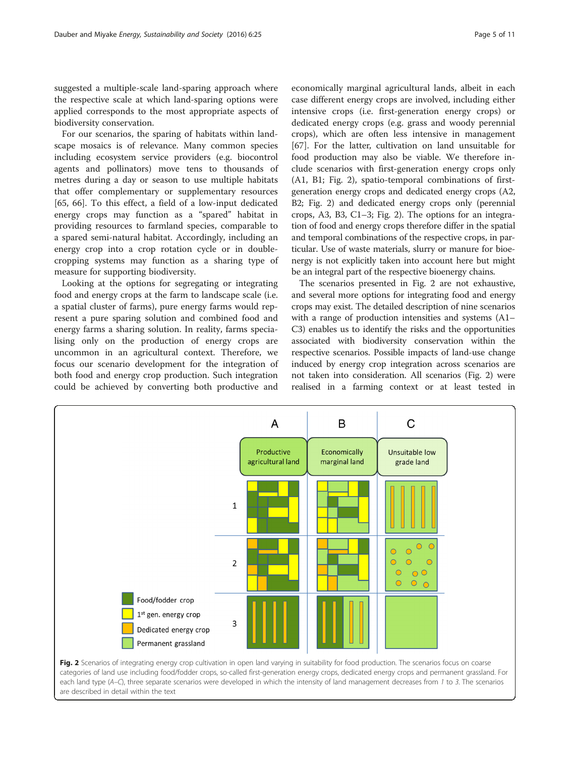<span id="page-4-0"></span>suggested a multiple-scale land-sparing approach where the respective scale at which land-sparing options were applied corresponds to the most appropriate aspects of biodiversity conservation.

For our scenarios, the sparing of habitats within landscape mosaics is of relevance. Many common species including ecosystem service providers (e.g. biocontrol agents and pollinators) move tens to thousands of metres during a day or season to use multiple habitats that offer complementary or supplementary resources [[65, 66\]](#page-9-0). To this effect, a field of a low-input dedicated energy crops may function as a "spared" habitat in providing resources to farmland species, comparable to a spared semi-natural habitat. Accordingly, including an energy crop into a crop rotation cycle or in doublecropping systems may function as a sharing type of measure for supporting biodiversity.

Looking at the options for segregating or integrating food and energy crops at the farm to landscape scale (i.e. a spatial cluster of farms), pure energy farms would represent a pure sparing solution and combined food and energy farms a sharing solution. In reality, farms specialising only on the production of energy crops are uncommon in an agricultural context. Therefore, we focus our scenario development for the integration of both food and energy crop production. Such integration could be achieved by converting both productive and

economically marginal agricultural lands, albeit in each case different energy crops are involved, including either intensive crops (i.e. first-generation energy crops) or dedicated energy crops (e.g. grass and woody perennial crops), which are often less intensive in management [[67\]](#page-9-0). For the latter, cultivation on land unsuitable for food production may also be viable. We therefore include scenarios with first-generation energy crops only (A1, B1; Fig. 2), spatio-temporal combinations of firstgeneration energy crops and dedicated energy crops (A2, B2; Fig. 2) and dedicated energy crops only (perennial crops, A3, B3, C1–3; Fig. 2). The options for an integration of food and energy crops therefore differ in the spatial and temporal combinations of the respective crops, in particular. Use of waste materials, slurry or manure for bioenergy is not explicitly taken into account here but might be an integral part of the respective bioenergy chains.

The scenarios presented in Fig. 2 are not exhaustive, and several more options for integrating food and energy crops may exist. The detailed description of nine scenarios with a range of production intensities and systems (A1– C3) enables us to identify the risks and the opportunities associated with biodiversity conservation within the respective scenarios. Possible impacts of land-use change induced by energy crop integration across scenarios are not taken into consideration. All scenarios (Fig. 2) were realised in a farming context or at least tested in



Fig. 2 Scenarios of integrating energy crop cultivation in open land varying in suitability for food production. The scenarios focus on coarse categories of land use including food/fodder crops, so-called first-generation energy crops, dedicated energy crops and permanent grassland. For each land type (A–C), three separate scenarios were developed in which the intensity of land management decreases from 1 to 3. The scenarios are described in detail within the text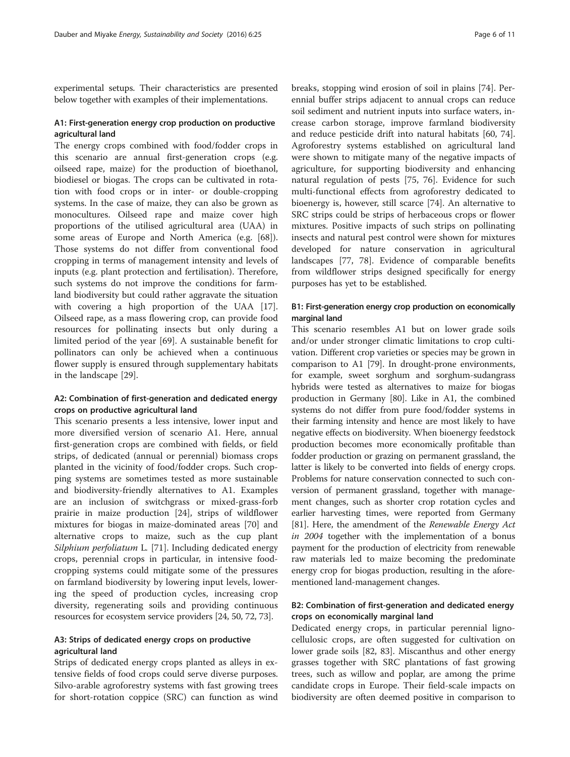experimental setups. Their characteristics are presented below together with examples of their implementations.

### A1: First-generation energy crop production on productive agricultural land

The energy crops combined with food/fodder crops in this scenario are annual first-generation crops (e.g. oilseed rape, maize) for the production of bioethanol, biodiesel or biogas. The crops can be cultivated in rotation with food crops or in inter- or double-cropping systems. In the case of maize, they can also be grown as monocultures. Oilseed rape and maize cover high proportions of the utilised agricultural area (UAA) in some areas of Europe and North America (e.g. [\[68](#page-9-0)]). Those systems do not differ from conventional food cropping in terms of management intensity and levels of inputs (e.g. plant protection and fertilisation). Therefore, such systems do not improve the conditions for farmland biodiversity but could rather aggravate the situation with covering a high proportion of the UAA [\[17](#page-8-0)]. Oilseed rape, as a mass flowering crop, can provide food resources for pollinating insects but only during a limited period of the year [[69\]](#page-9-0). A sustainable benefit for pollinators can only be achieved when a continuous flower supply is ensured through supplementary habitats in the landscape [\[29](#page-9-0)].

### A2: Combination of first-generation and dedicated energy crops on productive agricultural land

This scenario presents a less intensive, lower input and more diversified version of scenario A1. Here, annual first-generation crops are combined with fields, or field strips, of dedicated (annual or perennial) biomass crops planted in the vicinity of food/fodder crops. Such cropping systems are sometimes tested as more sustainable and biodiversity-friendly alternatives to A1. Examples are an inclusion of switchgrass or mixed-grass-forb prairie in maize production [[24\]](#page-8-0), strips of wildflower mixtures for biogas in maize-dominated areas [\[70](#page-9-0)] and alternative crops to maize, such as the cup plant Silphium perfoliatum <sup>L</sup>. [\[71\]](#page-9-0). Including dedicated energy crops, perennial crops in particular, in intensive foodcropping systems could mitigate some of the pressures on farmland biodiversity by lowering input levels, lowering the speed of production cycles, increasing crop diversity, regenerating soils and providing continuous resources for ecosystem service providers [[24](#page-8-0), [50, 72](#page-9-0), [73](#page-10-0)].

### A3: Strips of dedicated energy crops on productive agricultural land

Strips of dedicated energy crops planted as alleys in extensive fields of food crops could serve diverse purposes. Silvo-arable agroforestry systems with fast growing trees for short-rotation coppice (SRC) can function as wind

breaks, stopping wind erosion of soil in plains [\[74\]](#page-10-0). Perennial buffer strips adjacent to annual crops can reduce soil sediment and nutrient inputs into surface waters, increase carbon storage, improve farmland biodiversity and reduce pesticide drift into natural habitats [[60](#page-9-0), [74](#page-10-0)]. Agroforestry systems established on agricultural land were shown to mitigate many of the negative impacts of agriculture, for supporting biodiversity and enhancing natural regulation of pests [[75, 76](#page-10-0)]. Evidence for such multi-functional effects from agroforestry dedicated to bioenergy is, however, still scarce [[74](#page-10-0)]. An alternative to SRC strips could be strips of herbaceous crops or flower mixtures. Positive impacts of such strips on pollinating insects and natural pest control were shown for mixtures developed for nature conservation in agricultural landscapes [[77](#page-10-0), [78](#page-10-0)]. Evidence of comparable benefits from wildflower strips designed specifically for energy purposes has yet to be established.

### B1: First-generation energy crop production on economically marginal land

This scenario resembles A1 but on lower grade soils and/or under stronger climatic limitations to crop cultivation. Different crop varieties or species may be grown in comparison to A1 [\[79\]](#page-10-0). In drought-prone environments, for example, sweet sorghum and sorghum-sudangrass hybrids were tested as alternatives to maize for biogas production in Germany [\[80](#page-10-0)]. Like in A1, the combined systems do not differ from pure food/fodder systems in their farming intensity and hence are most likely to have negative effects on biodiversity. When bioenergy feedstock production becomes more economically profitable than fodder production or grazing on permanent grassland, the latter is likely to be converted into fields of energy crops. Problems for nature conservation connected to such conversion of permanent grassland, together with management changes, such as shorter crop rotation cycles and earlier harvesting times, were reported from Germany [[81](#page-10-0)]. Here, the amendment of the Renewable Energy Act in 2004 together with the implementation of a bonus payment for the production of electricity from renewable raw materials led to maize becoming the predominate energy crop for biogas production, resulting in the aforementioned land-management changes.

### B2: Combination of first-generation and dedicated energy crops on economically marginal land

Dedicated energy crops, in particular perennial lignocellulosic crops, are often suggested for cultivation on lower grade soils [[82, 83](#page-10-0)]. Miscanthus and other energy grasses together with SRC plantations of fast growing trees, such as willow and poplar, are among the prime candidate crops in Europe. Their field-scale impacts on biodiversity are often deemed positive in comparison to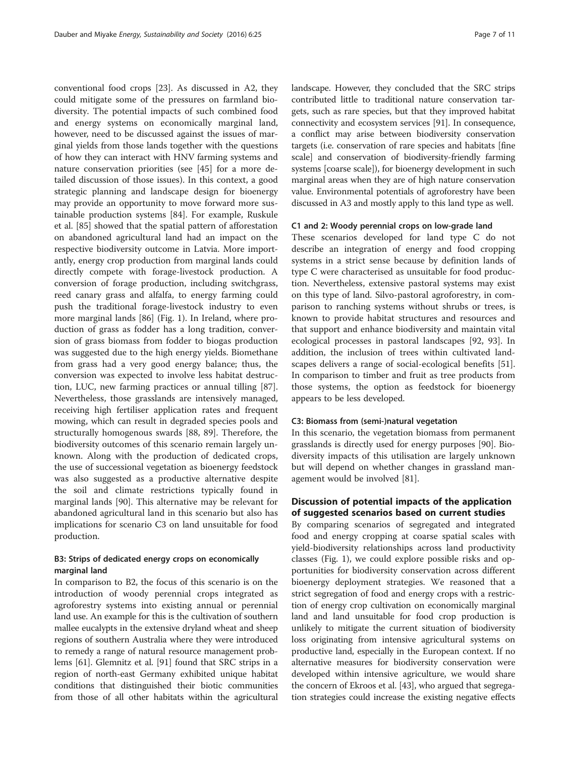conventional food crops [[23](#page-8-0)]. As discussed in A2, they could mitigate some of the pressures on farmland biodiversity. The potential impacts of such combined food and energy systems on economically marginal land, however, need to be discussed against the issues of marginal yields from those lands together with the questions of how they can interact with HNV farming systems and nature conservation priorities (see [[45\]](#page-9-0) for a more detailed discussion of those issues). In this context, a good strategic planning and landscape design for bioenergy may provide an opportunity to move forward more sustainable production systems [[84\]](#page-10-0). For example, Ruskule et al. [[85](#page-10-0)] showed that the spatial pattern of afforestation on abandoned agricultural land had an impact on the respective biodiversity outcome in Latvia. More importantly, energy crop production from marginal lands could directly compete with forage-livestock production. A conversion of forage production, including switchgrass, reed canary grass and alfalfa, to energy farming could push the traditional forage-livestock industry to even more marginal lands [\[86\]](#page-10-0) (Fig. [1](#page-2-0)). In Ireland, where production of grass as fodder has a long tradition, conversion of grass biomass from fodder to biogas production was suggested due to the high energy yields. Biomethane from grass had a very good energy balance; thus, the conversion was expected to involve less habitat destruction, LUC, new farming practices or annual tilling [\[87](#page-10-0)]. Nevertheless, those grasslands are intensively managed, receiving high fertiliser application rates and frequent mowing, which can result in degraded species pools and structurally homogenous swards [\[88](#page-10-0), [89\]](#page-10-0). Therefore, the biodiversity outcomes of this scenario remain largely unknown. Along with the production of dedicated crops, the use of successional vegetation as bioenergy feedstock was also suggested as a productive alternative despite the soil and climate restrictions typically found in marginal lands [[90\]](#page-10-0). This alternative may be relevant for abandoned agricultural land in this scenario but also has implications for scenario C3 on land unsuitable for food production.

## B3: Strips of dedicated energy crops on economically marginal land

In comparison to B2, the focus of this scenario is on the introduction of woody perennial crops integrated as agroforestry systems into existing annual or perennial land use. An example for this is the cultivation of southern mallee eucalypts in the extensive dryland wheat and sheep regions of southern Australia where they were introduced to remedy a range of natural resource management problems [[61](#page-9-0)]. Glemnitz et al. [[91](#page-10-0)] found that SRC strips in a region of north-east Germany exhibited unique habitat conditions that distinguished their biotic communities from those of all other habitats within the agricultural landscape. However, they concluded that the SRC strips contributed little to traditional nature conservation targets, such as rare species, but that they improved habitat connectivity and ecosystem services [[91](#page-10-0)]. In consequence, a conflict may arise between biodiversity conservation targets (i.e. conservation of rare species and habitats [fine scale] and conservation of biodiversity-friendly farming systems [coarse scale]), for bioenergy development in such marginal areas when they are of high nature conservation value. Environmental potentials of agroforestry have been discussed in A3 and mostly apply to this land type as well.

### C1 and 2: Woody perennial crops on low-grade land

These scenarios developed for land type C do not describe an integration of energy and food cropping systems in a strict sense because by definition lands of type C were characterised as unsuitable for food production. Nevertheless, extensive pastoral systems may exist on this type of land. Silvo-pastoral agroforestry, in comparison to ranching systems without shrubs or trees, is known to provide habitat structures and resources and that support and enhance biodiversity and maintain vital ecological processes in pastoral landscapes [[92](#page-10-0), [93\]](#page-10-0). In addition, the inclusion of trees within cultivated landscapes delivers a range of social-ecological benefits [\[51](#page-9-0)]. In comparison to timber and fruit as tree products from those systems, the option as feedstock for bioenergy appears to be less developed.

### C3: Biomass from (semi-)natural vegetation

In this scenario, the vegetation biomass from permanent grasslands is directly used for energy purposes [\[90\]](#page-10-0). Biodiversity impacts of this utilisation are largely unknown but will depend on whether changes in grassland management would be involved [\[81\]](#page-10-0).

## Discussion of potential impacts of the application of suggested scenarios based on current studies

By comparing scenarios of segregated and integrated food and energy cropping at coarse spatial scales with yield-biodiversity relationships across land productivity classes (Fig. [1](#page-2-0)), we could explore possible risks and opportunities for biodiversity conservation across different bioenergy deployment strategies. We reasoned that a strict segregation of food and energy crops with a restriction of energy crop cultivation on economically marginal land and land unsuitable for food crop production is unlikely to mitigate the current situation of biodiversity loss originating from intensive agricultural systems on productive land, especially in the European context. If no alternative measures for biodiversity conservation were developed within intensive agriculture, we would share the concern of Ekroos et al. [\[43\]](#page-9-0), who argued that segregation strategies could increase the existing negative effects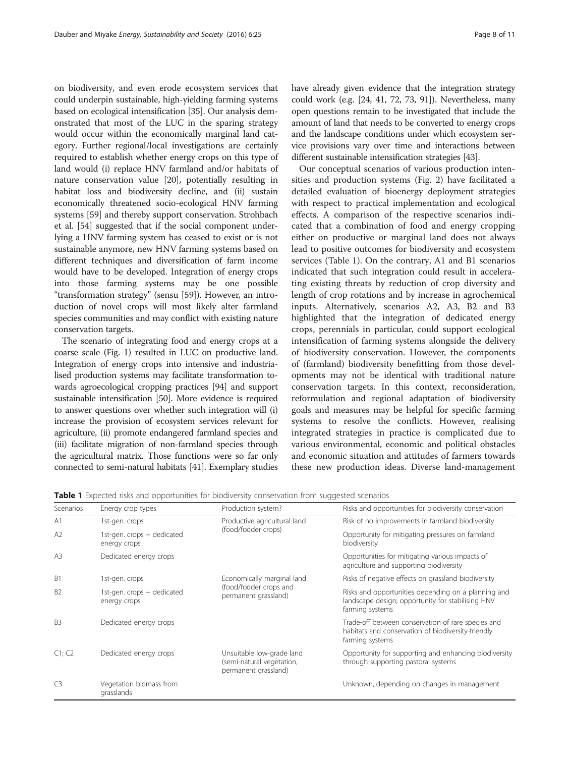on biodiversity, and even erode ecosystem services that could underpin sustainable, high-yielding farming systems based on ecological intensification [\[35](#page-9-0)]. Our analysis demonstrated that most of the LUC in the sparing strategy would occur within the economically marginal land category. Further regional/local investigations are certainly required to establish whether energy crops on this type of land would (i) replace HNV farmland and/or habitats of nature conservation value [\[20](#page-8-0)], potentially resulting in habitat loss and biodiversity decline, and (ii) sustain economically threatened socio-ecological HNV farming systems [[59](#page-9-0)] and thereby support conservation. Strohbach et al. [[54](#page-9-0)] suggested that if the social component underlying a HNV farming system has ceased to exist or is not sustainable anymore, new HNV farming systems based on different techniques and diversification of farm income would have to be developed. Integration of energy crops into those farming systems may be one possible "transformation strategy" (sensu [[59](#page-9-0)]). However, an introduction of novel crops will most likely alter farmland species communities and may conflict with existing nature conservation targets.

The scenario of integrating food and energy crops at a coarse scale (Fig. [1](#page-2-0)) resulted in LUC on productive land. Integration of energy crops into intensive and industrialised production systems may facilitate transformation towards agroecological cropping practices [[94](#page-10-0)] and support sustainable intensification [\[50](#page-9-0)]. More evidence is required to answer questions over whether such integration will (i) increase the provision of ecosystem services relevant for agriculture, (ii) promote endangered farmland species and (iii) facilitate migration of non-farmland species through the agricultural matrix. Those functions were so far only connected to semi-natural habitats [\[41](#page-9-0)]. Exemplary studies have already given evidence that the integration strategy could work (e.g. [\[24,](#page-8-0) [41](#page-9-0), [72,](#page-9-0) [73, 91](#page-10-0)]). Nevertheless, many open questions remain to be investigated that include the amount of land that needs to be converted to energy crops and the landscape conditions under which ecosystem service provisions vary over time and interactions between different sustainable intensification strategies [\[43](#page-9-0)].

Our conceptual scenarios of various production intensities and production systems (Fig. [2](#page-4-0)) have facilitated a detailed evaluation of bioenergy deployment strategies with respect to practical implementation and ecological effects. A comparison of the respective scenarios indicated that a combination of food and energy cropping either on productive or marginal land does not always lead to positive outcomes for biodiversity and ecosystem services (Table 1). On the contrary, A1 and B1 scenarios indicated that such integration could result in accelerating existing threats by reduction of crop diversity and length of crop rotations and by increase in agrochemical inputs. Alternatively, scenarios A2, A3, B2 and B3 highlighted that the integration of dedicated energy crops, perennials in particular, could support ecological intensification of farming systems alongside the delivery of biodiversity conservation. However, the components of (farmland) biodiversity benefitting from those developments may not be identical with traditional nature conservation targets. In this context, reconsideration, reformulation and regional adaptation of biodiversity goals and measures may be helpful for specific farming systems to resolve the conflicts. However, realising integrated strategies in practice is complicated due to various environmental, economic and political obstacles and economic situation and attitudes of farmers towards these new production ideas. Diverse land-management

Table 1 Expected risks and opportunities for biodiversity conservation from suggested scenarios

| Scenarios      | Energy crop types                          | Production system?                                                             | Risks and opportunities for biodiversity conservation                                                                       |
|----------------|--------------------------------------------|--------------------------------------------------------------------------------|-----------------------------------------------------------------------------------------------------------------------------|
| A1             | 1st-gen. crops                             | Productive agricultural land<br>(food/fodder crops)                            | Risk of no improvements in farmland biodiversity                                                                            |
| A2             | 1st-gen. crops + dedicated<br>energy crops |                                                                                | Opportunity for mitigating pressures on farmland<br>biodiversity                                                            |
| A <sub>3</sub> | Dedicated energy crops                     |                                                                                | Opportunities for mitigating various impacts of<br>agriculture and supporting biodiversity                                  |
| B1             | 1st-gen. crops                             | Economically marginal land<br>(food/fodder crops and<br>permanent grassland)   | Risks of negative effects on grassland biodiversity                                                                         |
| B <sub>2</sub> | 1st-gen. crops + dedicated<br>energy crops |                                                                                | Risks and opportunities depending on a planning and<br>landscape design; opportunity for stabilising HNV<br>farming systems |
| B <sub>3</sub> | Dedicated energy crops                     |                                                                                | Trade-off between conservation of rare species and<br>habitats and conservation of biodiversity-friendly<br>farming systems |
| C1; C2         | Dedicated energy crops                     | Unsuitable low-grade land<br>(semi-natural vegetation,<br>permanent grassland) | Opportunity for supporting and enhancing biodiversity<br>through supporting pastoral systems                                |
| C <sub>3</sub> | Vegetation biomass from<br>grasslands      |                                                                                | Unknown, depending on changes in management                                                                                 |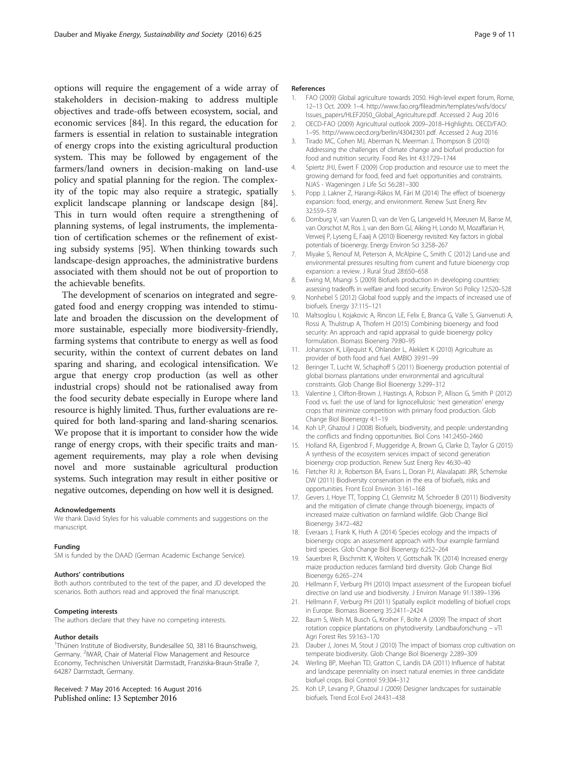<span id="page-8-0"></span>options will require the engagement of a wide array of stakeholders in decision-making to address multiple objectives and trade-offs between ecosystem, social, and economic services [\[84](#page-10-0)]. In this regard, the education for farmers is essential in relation to sustainable integration of energy crops into the existing agricultural production system. This may be followed by engagement of the farmers/land owners in decision-making on land-use policy and spatial planning for the region. The complexity of the topic may also require a strategic, spatially explicit landscape planning or landscape design [\[84](#page-10-0)]. This in turn would often require a strengthening of planning systems, of legal instruments, the implementation of certification schemes or the refinement of existing subsidy systems [[95](#page-10-0)]. When thinking towards such landscape-design approaches, the administrative burdens associated with them should not be out of proportion to the achievable benefits.

The development of scenarios on integrated and segregated food and energy cropping was intended to stimulate and broaden the discussion on the development of more sustainable, especially more biodiversity-friendly, farming systems that contribute to energy as well as food security, within the context of current debates on land sparing and sharing, and ecological intensification. We argue that energy crop production (as well as other industrial crops) should not be rationalised away from the food security debate especially in Europe where land resource is highly limited. Thus, further evaluations are required for both land-sparing and land-sharing scenarios. We propose that it is important to consider how the wide range of energy crops, with their specific traits and management requirements, may play a role when devising novel and more sustainable agricultural production systems. Such integration may result in either positive or negative outcomes, depending on how well it is designed.

#### Acknowledgements

We thank David Styles for his valuable comments and suggestions on the manuscript.

#### Funding

SM is funded by the DAAD (German Academic Exchange Service).

#### Authors' contributions

Both authors contributed to the text of the paper, and JD developed the scenarios. Both authors read and approved the final manuscript.

#### Competing interests

The authors declare that they have no competing interests.

#### Author details

<sup>1</sup>Thünen Institute of Biodiversity, Bundesallee 50, 38116 Braunschweig, Germany. <sup>2</sup>IWAR, Chair of Material Flow Management and Resource Economy, Technischen Universität Darmstadt, Franziska-Braun-Straße 7, 64287 Darmstadt, Germany.

#### Received: 7 May 2016 Accepted: 16 August 2016 Published online: 13 September 2016

#### References

- 1. FAO (2009) Global agriculture towards 2050. High-level expert forum, Rome, 12–13 Oct. 2009: 1–4. [http://www.fao.org/fileadmin/templates/wsfs/docs/](http://www.fao.org/fileadmin/templates/wsfs/docs/Issues_papers/HLEF2050_Global_Agriculture.pdf) [Issues\\_papers/HLEF2050\\_Global\\_Agriculture.pdf](http://www.fao.org/fileadmin/templates/wsfs/docs/Issues_papers/HLEF2050_Global_Agriculture.pdf). Accessed 2 Aug 2016
- 2. OECD-FAO (2009) Agricultural outlook 2009–2018–Highlights. OECD/FAO: 1–95. [http://www.oecd.org/berlin/43042301.pdf.](http://www.oecd.org/berlin/43042301.pdf) Accessed 2 Aug 2016
- 3. Tirado MC, Cohen MJ, Aberman N, Meerman J, Thompson B (2010) Addressing the challenges of climate change and biofuel production for food and nutrition security. Food Res Int 43:1729–1744
- 4. Spiertz JHJ, Ewert F (2009) Crop production and resource use to meet the growing demand for food, feed and fuel: opportunities and constraints. NJAS - Wageningen J Life Sci 56:281–300
- 5. Popp J, Lakner Z, Harangi-Rákos M, Fári M (2014) The effect of bioenergy expansion: food, energy, and environment. Renew Sust Energ Rev 32:559–578
- 6. Dornburg V, van Vuuren D, van de Ven G, Langeveld H, Meeusen M, Banse M, van Oorschot M, Ros J, van den Born GJ, Aiking H, Londo M, Mozaffarian H, Verweij P, Lyseng E, Faaij A (2010) Bioenergy revisited: Key factors in global potentials of bioenergy. Energy Environ Sci 3:258–267
- 7. Miyake S, Renouf M, Peterson A, McAlpine C, Smith C (2012) Land-use and environmental pressures resulting from current and future bioenergy crop expansion: a review. J Rural Stud 28:650–658
- 8. Ewing M, Msangi S (2009) Biofuels production in developing countries: assessing tradeoffs in welfare and food security. Environ Sci Policy 12:520–528
- 9. Nonhebel S (2012) Global food supply and the impacts of increased use of biofuels. Energy 37:115–121
- 10. Maltsoglou I, Kojakovic A, Rincon LE, Felix E, Branca G, Valle S, Gianvenuti A, Rossi A, Thulstrup A, Thofern H (2015) Combining bioenergy and food security: An approach and rapid appraisal to guide bioenergy policy formulation. Biomass Bioenerg 79:80–95
- 11. Johansson K, Liljequist K, Ohlander L, Aleklett K (2010) Agriculture as provider of both food and fuel. AMBIO 39:91–99
- 12. Beringer T, Lucht W, Schaphoff S (2011) Bioenergy production potential of global biomass plantations under environmental and agricultural constraints. Glob Change Biol Bioenergy 3:299–312
- 13. Valentine J, Clifton-Brown J, Hastings A, Robson P, Allison G, Smith P (2012) Food vs. fuel: the use of land for lignocellulosic 'next generation' energy crops that minimize competition with primary food production. Glob Change Biol Bioenergy 4:1–19
- 14. Koh LP, Ghazoul J (2008) Biofuels, biodiversity, and people: understanding the conflicts and finding opportunities. Biol Cons 141:2450–2460
- 15. Holland RA, Eigenbrod F, Muggeridge A, Brown G, Clarke D, Taylor G (2015) A synthesis of the ecosystem services impact of second generation bioenergy crop production. Renew Sust Energ Rev 46:30–40
- 16. Fletcher RJ Jr, Robertson BA, Evans L, Doran PJ, Alavalapati JRR, Schemske DW (2011) Biodiversity conservation in the era of biofuels, risks and opportunities. Front Ecol Environ 3:161–168
- 17. Gevers J, Hoye TT, Topping CJ, Glemnitz M, Schroeder B (2011) Biodiversity and the mitigation of climate change through bioenergy, impacts of increased maize cultivation on farmland wildlife. Glob Change Biol Bioenergy 3:472–482
- 18. Everaars J, Frank K, Huth A (2014) Species ecology and the impacts of bioenergy crops: an assessment approach with four example farmland bird species. Glob Change Biol Bioenergy 6:252–264
- 19. Sauerbrei R, Ekschmitt K, Wolters V, Gottschalk TK (2014) Increased energy maize production reduces farmland bird diversity. Glob Change Biol Bioenergy 6:265–274
- 20. Hellmann F, Verburg PH (2010) Impact assessment of the European biofuel directive on land use and biodiversity. J Environ Manage 91:1389–1396
- 21. Hellmann F, Verburg PH (2011) Spatially explicit modelling of biofuel crops in Europe. Biomass Bioenerg 35:2411–2424
- 22. Baum S, Weih M, Busch G, Kroiher F, Bolte A (2009) The impact of short rotation coppice plantations on phytodiversity. Landbauforschung – vTI Agri Forest Res 59:163–170
- 23. Dauber J, Jones M, Stout J (2010) The impact of biomass crop cultivation on temperate biodiversity. Glob Change Biol Bioenergy 2:289–309
- 24. Werling BP, Meehan TD, Gratton C, Landis DA (2011) Influence of habitat and landscape perenniality on insect natural enemies in three candidate biofuel crops. Biol Control 59:304–312
- 25. Koh LP, Levang P, Ghazoul J (2009) Designer landscapes for sustainable biofuels. Trend Ecol Evol 24:431–438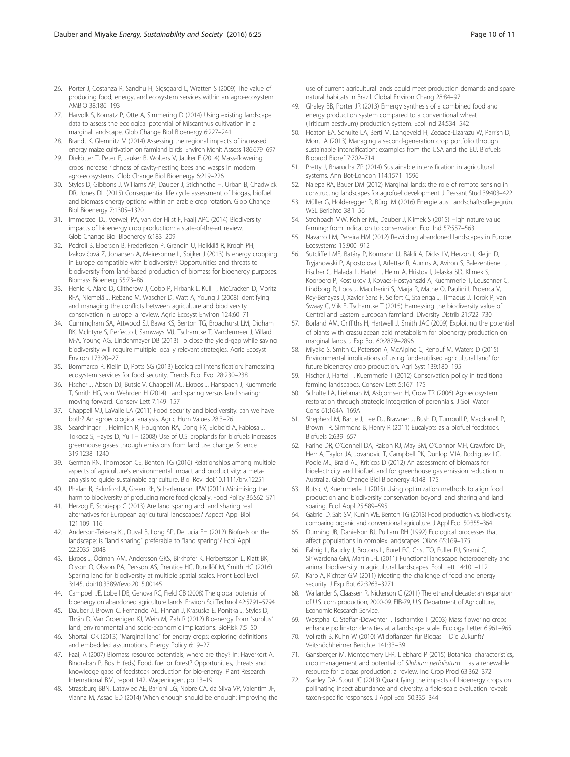- <span id="page-9-0"></span>26. Porter J, Costanza R, Sandhu H, Sigsgaard L, Wratten S (2009) The value of producing food, energy, and ecosystem services within an agro-ecosystem. AMBIO 38:186–193
- 27. Harvolk S, Kornatz P, Otte A, Simmering D (2014) Using existing landscape data to assess the ecological potential of Miscanthus cultivation in a marginal landscape. Glob Change Biol Bioenergy 6:227–241
- 28. Brandt K, Glemnitz M (2014) Assessing the regional impacts of increased energy maize cultivation on farmland birds. Environ Monit Assess 186:679–697
- 29. Diekötter T, Peter F, Jauker B, Wolters V, Jauker F (2014) Mass-flowering crops increase richness of cavity-nesting bees and wasps in modern agro-ecosystems. Glob Change Biol Bioenergy 6:219–226
- 30. Styles D, Gibbons J, Williams AP, Dauber J, Stichnothe H, Urban B, Chadwick DR, Jones DL (2015) Consequential life cycle assessment of biogas, biofuel and biomass energy options within an arable crop rotation. Glob Change Biol Bioenergy 7:1305–1320
- 31. Immerzeel DJ, Verweij PA, van der Hilst F, Faaij APC (2014) Biodiversity impacts of bioenergy crop production: a state-of-the-art review. Glob Change Biol Bioenergy 6:183–209
- 32. Pedroli B, Elbersen B, Frederiksen P, Grandin U, Heikkilä R, Krogh PH, Izakovičová Z, Johansen A, Meiresonne L, Spijker J (2013) Is energy cropping in Europe compatible with biodiversity? Opportunities and threats to biodiversity from land-based production of biomass for bioenergy purposes. Biomass Bioenerg 55:73–86
- 33. Henle K, Alard D, Clitherow J, Cobb P, Firbank L, Kull T, McCracken D, Moritz RFA, Niemelä J, Rebane M, Wascher D, Watt A, Young J (2008) Identifying and managing the conflicts between agriculture and biodiversity conservation in Europe–a review. Agric Ecosyst Environ 124:60–71
- 34. Cunningham SA, Attwood SJ, Bawa KS, Benton TG, Broadhurst LM, Didham RK, McIntyre S, Perfecto I, Samways MJ, Tscharntke T, Vandermeer J, Villard M-A, Young AG, Lindenmayer DB (2013) To close the yield-gap while saving biodiversity will require multiple locally relevant strategies. Agric Ecosyst Environ 173:20–27
- 35. Bommarco R, Kleijn D, Potts SG (2013) Ecological intensification: harnessing ecosystem services for food security. Trends Ecol Evol 28:230–238
- 36. Fischer J, Abson DJ, Butsic V, Chappell MJ, Ekroos J, Hanspach J, Kuemmerle T, Smith HG, von Wehrden H (2014) Land sparing versus land sharing: moving forward. Conserv Lett 7:149–157
- 37. Chappell MJ, LaValle LA (2011) Food security and biodiversity: can we have both? An agroecological analysis. Agric Hum Values 28:3–26
- 38. Searchinger T, Heimlich R, Houghton RA, Dong FX, Elobeid A, Fabiosa J, Tokgoz S, Hayes D, Yu TH (2008) Use of U.S. croplands for biofuels increases greenhouse gases through emissions from land use change. Science 319:1238–1240
- 39. German RN, Thompson CE, Benton TG (2016) Relationships among multiple aspects of agriculture's environmental impact and productivity: a metaanalysis to guide sustainable agriculture. Biol Rev. doi[:10.1111/brv.12251](http://dx.doi.org/10.1111/brv.12251)
- 40. Phalan B, Balmford A, Green RE, Scharlemann JPW (2011) Minimising the harm to biodiversity of producing more food globally. Food Policy 36:S62–S71
- 41. Herzog F, Schüepp C (2013) Are land sparing and land sharing real alternatives for European agricultural landscapes? Aspect Appl Biol 121:109–116
- 42. Anderson-Teixera KJ, Duval B, Long SP, DeLucia EH (2012) Biofuels on the landscape: is "land sharing" preferable to "land sparing"? Ecol Appl 22:2035–2048
- 43. Ekroos J, Ödman AM, Andersson GKS, Birkhofer K, Herbertsson L, Klatt BK, Olsson O, Olsson PA, Persson AS, Prentice HC, Rundlöf M, Smith HG (2016) Sparing land for biodiversity at multiple spatial scales. Front Ecol Evol 3:145. doi[:10.3389/fevo.2015.00145](http://dx.doi.org/10.3389/fevo.2015.00145)
- 44. Campbell JE, Lobell DB, Genova RC, Field CB (2008) The global potential of bioenergy on abandoned agriculture lands. Environ Sci Technol 42:5791–5794
- 45. Dauber J, Brown C, Fernando AL, Finnan J, Krasuska E, Ponitka J, Styles D, Thrän D, Van Groenigen KJ, Weih M, Zah R (2012) Bioenergy from "surplus" land, environmental and socio-economic implications. BioRisk 7:5–50
- 46. Shortall OK (2013) "Marginal land" for energy crops: exploring definitions and embedded assumptions. Energy Policy 6:19–27
- 47. Faaij A (2007) Biomass resource potentials; where are they? In: Haverkort A, Bindraban P, Bos H (eds) Food, fuel or forest? Opportunities, threats and knowledge gaps of feedstock production for bio-energy. Plant Research International B.V., report 142, Wageningen, pp 13–19
- 48. Strassburg BBN, Latawiec AE, Barioni LG, Nobre CA, da Silva VP, Valentim JF, Vianna M, Assad ED (2014) When enough should be enough: improving the

use of current agricultural lands could meet production demands and spare natural habitats in Brazil. Global Environ Chang 28:84–97

- 49. Ghaley BB, Porter JR (2013) Emergy synthesis of a combined food and energy production system compared to a conventional wheat (Triticum aestivum) production system. Ecol Ind 24:534–542
- 50. Heaton EA, Schulte LA, Berti M, Langeveld H, Zegada-Lizarazu W, Parrish D, Monti A (2013) Managing a second-generation crop portfolio through sustainable intensification: examples from the USA and the EU. Biofuels Bioprod Bioref 7:702–714
- 51. Pretty J, Bharucha ZP (2014) Sustainable intensification in agricultural systems. Ann Bot-London 114:1571–1596
- 52. Nalepa RA, Bauer DM (2012) Marginal lands: the role of remote sensing in constructing landscapes for agrofuel development. J Peasant Stud 39:403–422
- 53. Müller G, Holderegger R, Bürgi M (2016) Energie aus Landschaftspflegegrün. WSL Berichte 38:1–56
- Strohbach MW, Kohler ML, Dauber J, Klimek S (2015) High nature value farming: from indication to conservation. Ecol Ind 57:557–563
- 55. Navarro LM, Pereira HM (2012) Rewilding abandoned landscapes in Europe. Ecosystems 15:900–912
- 56. Sutcliffe LME, Batáry P, Kormann U, Báldi A, Dicks LV, Herzon I, Kleijn D, Tryjanowski P, Apostolova I, Arlettaz R, Aunins A, Aviron S, Balezentiene L, Fischer C, Halada L, Hartel T, Helm A, Hristov I, Jelaska SD, Klimek S, Koorberg P, Kostiukov J, Kovacs-Hostyanszki A, Kuemmerle T, Leuschner C, Lindborg R, Loos J, Maccherini S, Marja R, Mathe O, Paulini I, Proenca V, Rey-Benayas J, Xavier Sans F, Seifert C, Stalenga J, Timaeus J, Torok P, van Swaay C, Viik E, Tscharntke T (2015) Harnessing the biodiversity value of Central and Eastern European farmland. Diversity Distrib 21:722–730
- 57. Borland AM, Griffiths H, Hartwell J, Smith JAC (2009) Exploiting the potential of plants with crassulacean acid metabolism for bioenergy production on marginal lands. J Exp Bot 60:2879–2896
- 58. Miyake S, Smith C, Peterson A, McAlpine C, Renouf M, Waters D (2015) Environmental implications of using 'underutilised agricultural land' for future bioenergy crop production. Agri Syst 139:180–195
- 59. Fischer J, Hartel T, Kuemmerle T (2012) Conservation policy in traditional farming landscapes. Conserv Lett 5:167–175
- 60. Schulte LA, Liebman M, Asbjornsen H, Crow TR (2006) Agroecosystem restoration through strategic integration of perennials. J Soil Water Cons 61:164A–169A
- 61. Shepherd M, Bartle J, Lee DJ, Brawner J, Bush D, Turnbull P, Macdonell P, Brown TR, Simmons B, Henry R (2011) Eucalypts as a biofuel feedstock. Biofuels 2:639–657
- 62. Farine DR, O'Connell DA, Raison RJ, May BM, O'Connor MH, Crawford DF, Herr A, Taylor JA, Jovanovic T, Campbell PK, Dunlop MIA, Rodriguez LC, Poole ML, Braid AL, Kriticos D (2012) An assessment of biomass for bioelectricity and biofuel, and for greenhouse gas emission reduction in Australia. Glob Change Biol Bioenergy 4:148–175
- 63. Butsic V, Kuemmerle T (2015) Using optimization methods to align food production and biodiversity conservation beyond land sharing and land sparing. Ecol Appl 25:589–595
- 64. Gabriel D, Sait SM, Kunin WE, Benton TG (2013) Food production vs. biodiversity: comparing organic and conventional agriculture. J Appl Ecol 50:355–364
- 65. Dunning JB, Danielson BJ, Pulliam RH (1992) Ecological processes that affect populations in complex landscapes. Oikos 65:169–175
- 66. Fahrig L, Baudry J, Brotons L, Burel FG, Crist TO, Fuller RJ, Sirami C, Siriwardena GM, Martin J-L (2011) Functional landscape heterogeneity and animal biodiversity in agricultural landscapes. Ecol Lett 14:101–112
- 67. Karp A, Richter GM (2011) Meeting the challenge of food and energy security. J Exp Bot 62:3263–3271
- 68. Wallander S, Claassen R, Nickerson C (2011) The ethanol decade: an expansion of U.S. corn production, 2000-09. EIB-79, U.S. Department of Agriculture, Economic Research Service.
- 69. Westphal C, Steffan-Dewenter I, Tscharntke T (2003) Mass flowering crops enhance pollinator densities at a landscape scale. Ecology Letter 6:961–965
- 70. Vollrath B, Kuhn W (2010) Wildpflanzen für Biogas Die Zukunft? Veitshöchheimer Berichte 141:33–39
- 71. Gansberger M, Montgomery LFR, Liebhard P (2015) Botanical characteristics, crop management and potential of Silphium perfoliatum L. as a renewable resource for biogas production: a review. Ind Crop Prod 63:362–372
- 72. Stanley DA, Stout JC (2013) Quantifying the impacts of bioenergy crops on pollinating insect abundance and diversity: a field-scale evaluation reveals taxon-specific responses. J Appl Ecol 50:335–344